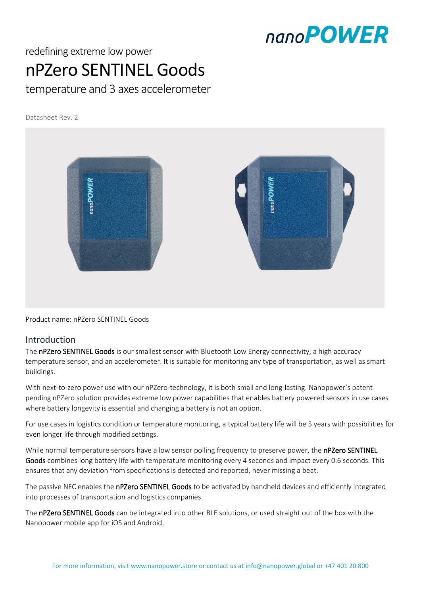### nano**POWER**

### redefining extreme low power nPZero SENTINEL Goods

temperature and 3 axes accelerometer

Datasheet Rev. 2



Product name: nPZero SENTINEL Goods

#### Introduction

The nPZero SENTINEL Goods is our smallest sensor with Bluetooth Low Energy connectivity, a high accuracy temperature sensor, and an accelerometer. It is suitable for monitoring any type of transportation, as well as smart buildings.

With next-to-zero power use with our nPZero-technology, it is both small and long-lasting. Nanopower's patent pending nPZero solution provides extreme low power capabilities that enables battery powered sensors in use cases where battery longevity is essential and changing a battery is not an option.

For use cases in logistics condition or temperature monitoring, a typical battery life will be 5 years with possibilities for even longer life through modified settings.

While normal temperature sensors have a low sensor polling frequency to preserve power, the nPZero SENTINEL Goods combines long battery life with temperature monitoring every 4 seconds and impact every 0.6 seconds. This ensures that any deviation from specifications is detected and reported, never missing a beat.

The passive NFC enables the nPZero SENTINEL Goods to be activated by handheld devices and efficiently integrated into processes of transportation and logistics companies.

The nPZero SENTINEL Goods can be integrated into other BLE solutions, or used straight out of the box with the Nanopower mobile app for iOS and Android.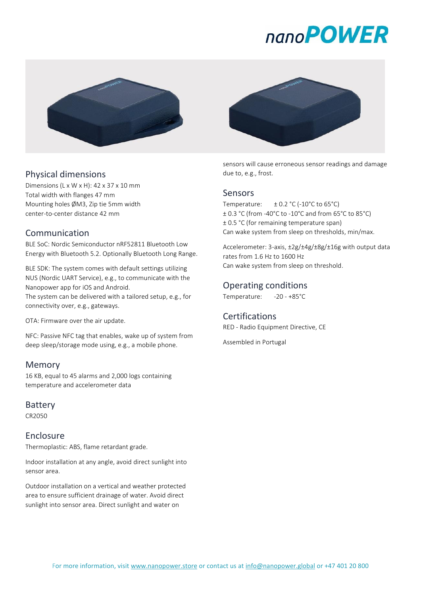# nano**POWER**



#### Physical dimensions

Dimensions (L x W x H): 42 x 37 x 10 mm Total width with flanges 47 mm Mounting holes ØM3, Zip tie 5mm width center-to-center distance 42 mm

#### Communication

BLE SoC: Nordic Semiconductor nRF52811 Bluetooth Low Energy with Bluetooth 5.2. Optionally Bluetooth Long Range.

BLE SDK: The system comes with default settings utilizing NUS (Nordic UART Service), e.g., to communicate with the Nanopower app for iOS and Android.

The system can be delivered with a tailored setup, e.g., for connectivity over, e.g., gateways.

OTA: Firmware over the air update.

NFC: Passive NFC tag that enables, wake up of system from deep sleep/storage mode using, e.g., a mobile phone.

#### Memory

16 KB, equal to 45 alarms and 2,000 logs containing temperature and accelerometer data

#### Battery

CR2050

#### Enclosure

Thermoplastic: ABS, flame retardant grade.

Indoor installation at any angle, avoid direct sunlight into sensor area.

Outdoor installation on a vertical and weather protected area to ensure sufficient drainage of water. Avoid direct sunlight into sensor area. Direct sunlight and water on



sensors will cause erroneous sensor readings and damage due to, e.g., frost.

#### Sensors

Temperature:  $\pm 0.2$  °C (-10°C to 65°C) ± 0.3 °C (from -40°C to -10°C and from 65°C to 85°C) ± 0.5 °C (for remaining temperature span) Can wake system from sleep on thresholds, min/max.

Accelerometer: 3-axis, ±2g/±4g/±8g/±16g with output data rates from 1.6 Hz to 1600 Hz Can wake system from sleep on threshold.

#### Operating conditions

Temperature: -20 - +85°C

#### Certifications

RED - Radio Equipment Directive, CE

Assembled in Portugal